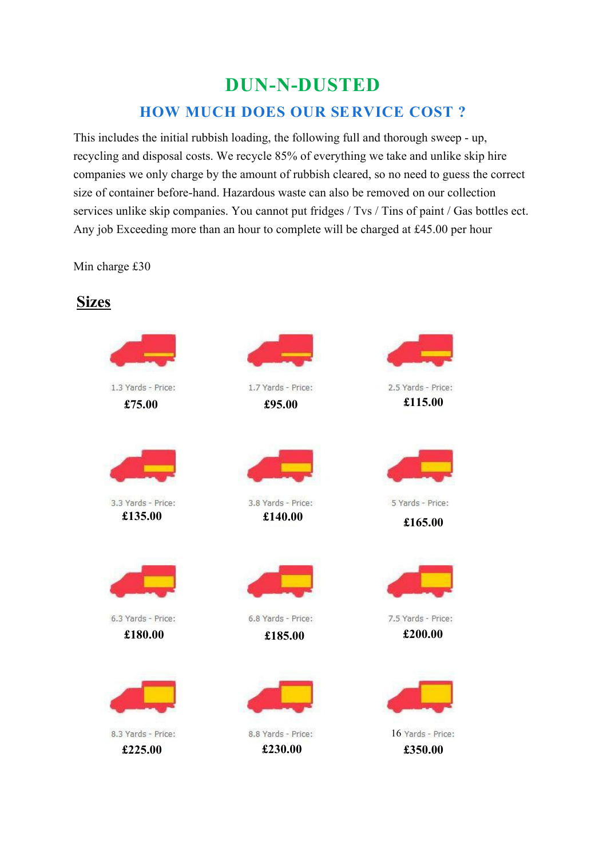## **DUN-N-DUSTED HOW MUCH DOES OUR SERVICE COST ?**

This includes the initial rubbish loading, the following full and thorough sweep - up, recycling and disposal costs. We recycle 85% of everything we take and unlike skip hire companies we only charge by the amount of rubbish cleared, so no need to guess the correct size of container before-hand. Hazardous waste can also be removed on our collection services unlike skip companies. You cannot put fridges / Tvs / Tins of paint / Gas bottles ect. Any job Exceeding more than an hour to complete will be charged at £45.00 per hour

Min charge £30